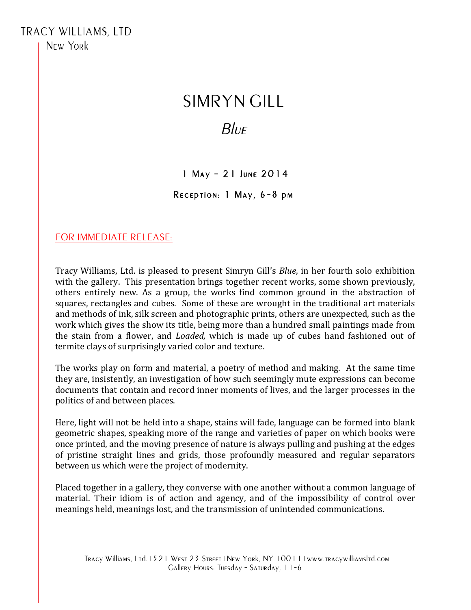# SIMRYN GILL

# $B\ell$

## 1 May – 21 June 2014

#### Reception: 1 May, 6-8 pm

### FOR IMMEDIATE RELEASE:

Tracy Williams, Ltd. is pleased to present Simryn Gill's *Blue*, in her fourth solo exhibition with the gallery. This presentation brings together recent works, some shown previously, others entirely new. As a group, the works find common ground in the abstraction of squares, rectangles and cubes. Some of these are wrought in the traditional art materials and methods of ink, silk screen and photographic prints, others are unexpected, such as the work which gives the show its title, being more than a hundred small paintings made from the stain from a flower, and *Loaded*, which is made up of cubes hand fashioned out of termite clays of surprisingly varied color and texture.

The works play on form and material, a poetry of method and making. At the same time they are, insistently, an investigation of how such seemingly mute expressions can become documents that contain and record inner moments of lives, and the larger processes in the politics of and between places.

Here, light will not be held into a shape, stains will fade, language can be formed into blank geometric shapes, speaking more of the range and varieties of paper on which books were once printed, and the moving presence of nature is always pulling and pushing at the edges of pristine straight lines and grids, those profoundly measured and regular separators between us which were the project of modernity.

Placed together in a gallery, they converse with one another without a common language of material. Their idiom is of action and agency, and of the impossibility of control over meanings held, meanings lost, and the transmission of unintended communications.